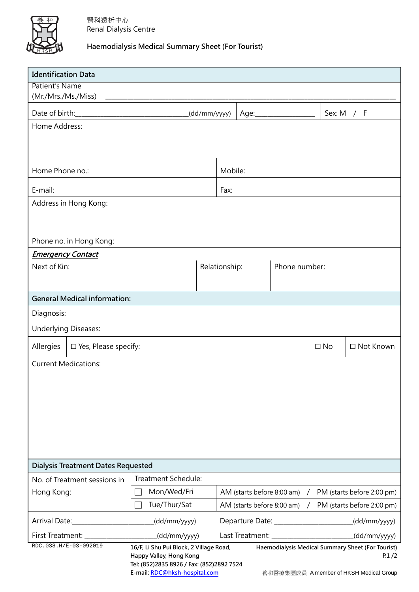

## **Haemodialysis Medical Summary Sheet (For Tourist)**

| <b>Identification Data</b>                  |                                                                                              |  |                                   |  |  |              |                                         |  |  |
|---------------------------------------------|----------------------------------------------------------------------------------------------|--|-----------------------------------|--|--|--------------|-----------------------------------------|--|--|
| Patient's Name                              |                                                                                              |  |                                   |  |  |              |                                         |  |  |
| (Mr./Mrs./Ms./Miss)                         |                                                                                              |  |                                   |  |  |              |                                         |  |  |
|                                             | (dd/mm/yyyy)                                                                                 |  | Age:_____________                 |  |  | Sex: M $/$ F |                                         |  |  |
| Home Address:                               |                                                                                              |  |                                   |  |  |              |                                         |  |  |
|                                             |                                                                                              |  |                                   |  |  |              |                                         |  |  |
| Home Phone no.:                             |                                                                                              |  | Mobile:                           |  |  |              |                                         |  |  |
| E-mail:                                     |                                                                                              |  | Fax:                              |  |  |              |                                         |  |  |
| Address in Hong Kong:                       |                                                                                              |  |                                   |  |  |              |                                         |  |  |
|                                             |                                                                                              |  |                                   |  |  |              |                                         |  |  |
|                                             |                                                                                              |  |                                   |  |  |              |                                         |  |  |
| Phone no. in Hong Kong:                     |                                                                                              |  |                                   |  |  |              |                                         |  |  |
| <b>Emergency Contact</b>                    |                                                                                              |  | Phone number:                     |  |  |              |                                         |  |  |
| Next of Kin:                                |                                                                                              |  | Relationship:                     |  |  |              |                                         |  |  |
|                                             |                                                                                              |  |                                   |  |  |              |                                         |  |  |
| <b>General Medical information:</b>         |                                                                                              |  |                                   |  |  |              |                                         |  |  |
| Diagnosis:                                  |                                                                                              |  |                                   |  |  |              |                                         |  |  |
| <b>Underlying Diseases:</b>                 |                                                                                              |  |                                   |  |  |              |                                         |  |  |
| Allergies<br>$\square$ Yes, Please specify: |                                                                                              |  |                                   |  |  | $\square$ No | □ Not Known                             |  |  |
| <b>Current Medications:</b>                 |                                                                                              |  |                                   |  |  |              |                                         |  |  |
|                                             |                                                                                              |  |                                   |  |  |              |                                         |  |  |
|                                             |                                                                                              |  |                                   |  |  |              |                                         |  |  |
|                                             |                                                                                              |  |                                   |  |  |              |                                         |  |  |
|                                             |                                                                                              |  |                                   |  |  |              |                                         |  |  |
|                                             |                                                                                              |  |                                   |  |  |              |                                         |  |  |
|                                             |                                                                                              |  |                                   |  |  |              |                                         |  |  |
| <b>Dialysis Treatment Dates Requested</b>   |                                                                                              |  |                                   |  |  |              |                                         |  |  |
| No. of Treatment sessions in                | Treatment Schedule:                                                                          |  |                                   |  |  |              |                                         |  |  |
| Hong Kong:                                  | Mon/Wed/Fri<br>AM (starts before 8:00 am)<br>PM (starts before 2:00 pm)<br>$\prime$          |  |                                   |  |  |              |                                         |  |  |
|                                             | Tue/Thur/Sat<br>AM (starts before 8:00 am)<br>PM (starts before 2:00 pm)                     |  |                                   |  |  |              |                                         |  |  |
| Arrival Date:                               | (dd/mm/yyyy)<br>(dd/mm/yyyy)                                                                 |  |                                   |  |  |              |                                         |  |  |
| First Treatment:                            | (dd/mm/yyyy)                                                                                 |  | (dd/mm/yyyy)<br>Last Treatment: _ |  |  |              |                                         |  |  |
| RDC.038.H/E-03-092019                       | Haemodialysis Medical Summary Sheet (For Tourist)<br>16/F, Li Shu Pui Block, 2 Village Road, |  |                                   |  |  |              |                                         |  |  |
|                                             | Happy Valley, Hong Kong<br>P.1/2<br>Tel: (852)2835 8926 / Fax: (852)2892 7524                |  |                                   |  |  |              |                                         |  |  |
|                                             | E-mail: RDC@hksh-hospital.com                                                                |  |                                   |  |  |              | 養和醫療集團成員 A member of HKSH Medical Group |  |  |